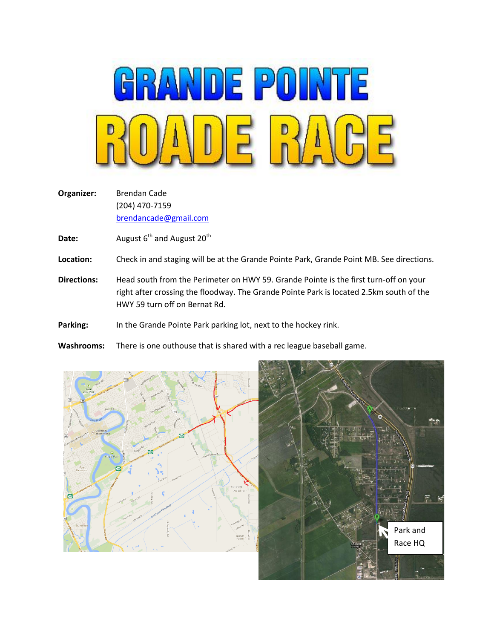

**Organizer:** Brendan Cade (204) 470-7159 [brendancade@gmail.com](mailto:brendancade@gmail.com)

**Date:** August 6<sup>th</sup> and August 20<sup>th</sup>

- **Location:** Check in and staging will be at the Grande Pointe Park, Grande Point MB. See directions.
- **Directions:** Head south from the Perimeter on HWY 59. Grande Pointe is the first turn-off on your right after crossing the floodway. The Grande Pointe Park is located 2.5km south of the HWY 59 turn off on Bernat Rd.

Parking: In the Grande Pointe Park parking lot, next to the hockey rink.

**Washrooms:** There is one outhouse that is shared with a rec league baseball game.



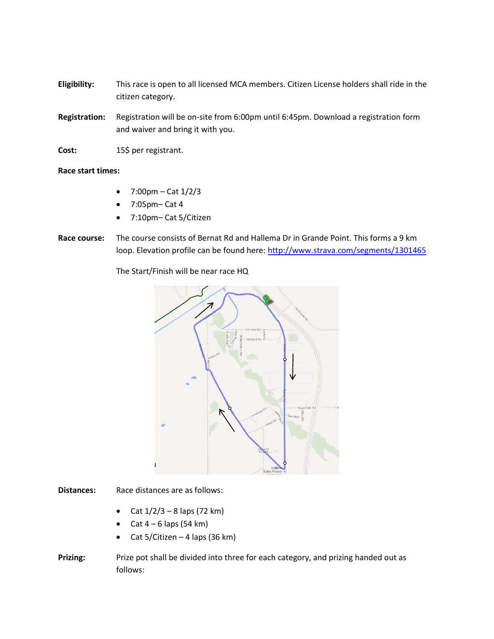**Eligibility:** This race is open to all licensed MCA members. Citizen License holders shall ride in the citizen category.

- **Registration:** Registration will be on-site from 6:00pm until 6:45pm. Download a registration form and waiver and bring it with you.
- Cost: 15\$ per registrant.

## **Race start times:**

- 7:00pm Cat 1/2/3
- 7:05pm– Cat 4
- 7:10pm– Cat 5/Citizen
- **Race course:** The course consists of Bernat Rd and Hallema Dr in Grande Point. This forms a 9 km loop. Elevation profile can be found here[: http://www.strava.com/segments/1301465](http://www.strava.com/segments/1301465)

The Start/Finish will be near race HQ



**Distances:** Race distances are as follows:

- Cat  $1/2/3 8$  laps (72 km)
- Cat  $4 6$  laps (54 km)
- Cat 5/Citizen 4 laps (36 km)
- **Prizing:** Prize pot shall be divided into three for each category, and prizing handed out as follows: